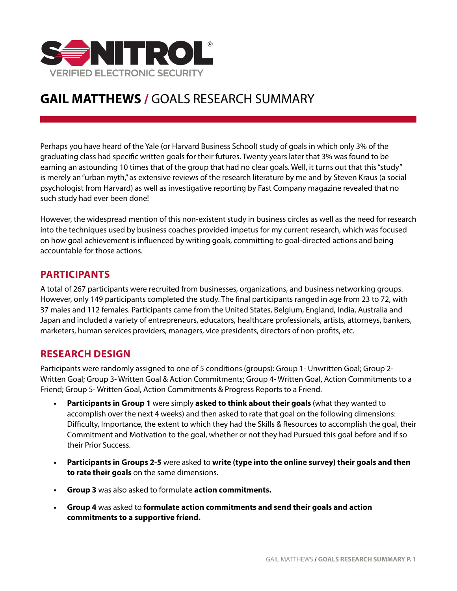

# **GAIL MATTHEWS /** GOALS RESEARCH SUMMARY

Perhaps you have heard of the Yale (or Harvard Business School) study of goals in which only 3% of the graduating class had specific written goals for their futures. Twenty years later that 3% was found to be earning an astounding 10 times that of the group that had no clear goals. Well, it turns out that this "study" is merely an "urban myth," as extensive reviews of the research literature by me and by Steven Kraus (a social psychologist from Harvard) as well as investigative reporting by Fast Company magazine revealed that no such study had ever been done!

However, the widespread mention of this non-existent study in business circles as well as the need for research into the techniques used by business coaches provided impetus for my current research, which was focused on how goal achievement is influenced by writing goals, committing to goal-directed actions and being accountable for those actions.

# **PARTICIPANTS**

A total of 267 participants were recruited from businesses, organizations, and business networking groups. However, only 149 participants completed the study. The final participants ranged in age from 23 to 72, with 37 males and 112 females. Participants came from the United States, Belgium, England, India, Australia and Japan and included a variety of entrepreneurs, educators, healthcare professionals, artists, attorneys, bankers, marketers, human services providers, managers, vice presidents, directors of non-profits, etc.

### **RESEARCH DESIGN**

Participants were randomly assigned to one of 5 conditions (groups): Group 1- Unwritten Goal; Group 2- Written Goal; Group 3- Written Goal & Action Commitments; Group 4- Written Goal, Action Commitments to a Friend; Group 5- Written Goal, Action Commitments & Progress Reports to a Friend.

- **• Participants in Group 1** were simply **asked to think about their goals** (what they wanted to accomplish over the next 4 weeks) and then asked to rate that goal on the following dimensions: Difficulty, Importance, the extent to which they had the Skills & Resources to accomplish the goal, their Commitment and Motivation to the goal, whether or not they had Pursued this goal before and if so their Prior Success.
- **• Participants in Groups 2-5** were asked to **write (type into the online survey) their goals and then to rate their goals** on the same dimensions.
- **• Group 3** was also asked to formulate **action commitments.**
- **• Group 4** was asked to **formulate action commitments and send their goals and action commitments to a supportive friend.**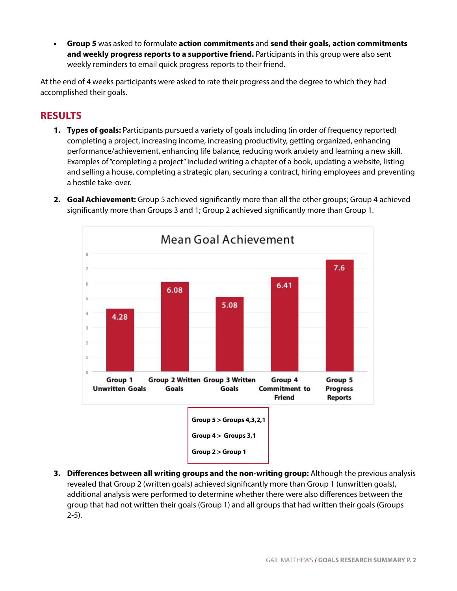**• Group 5** was asked to formulate **action commitments** and **send their goals, action commitments and weekly progress reports to a supportive friend.** Participants in this group were also sent weekly reminders to email quick progress reports to their friend.

At the end of 4 weeks participants were asked to rate their progress and the degree to which they had accomplished their goals.

# **RESULTS**

- **1. Types of goals:** Participants pursued a variety of goals including (in order of frequency reported) completing a project, increasing income, increasing productivity, getting organized, enhancing performance/achievement, enhancing life balance, reducing work anxiety and learning a new skill. Examples of "completing a project" included writing a chapter of a book, updating a website, listing and selling a house, completing a strategic plan, securing a contract, hiring employees and preventing a hostile take-over.
- **2. Goal Achievement:** Group 5 achieved significantly more than all the other groups; Group 4 achieved significantly more than Groups 3 and 1; Group 2 achieved significantly more than Group 1.



**3. Differences between all writing groups and the non-writing group:** Although the previous analysis revealed that Group 2 (written goals) achieved significantly more than Group 1 (unwritten goals), additional analysis were performed to determine whether there were also differences between the group that had not written their goals (Group 1) and all groups that had written their goals (Groups 2-5).